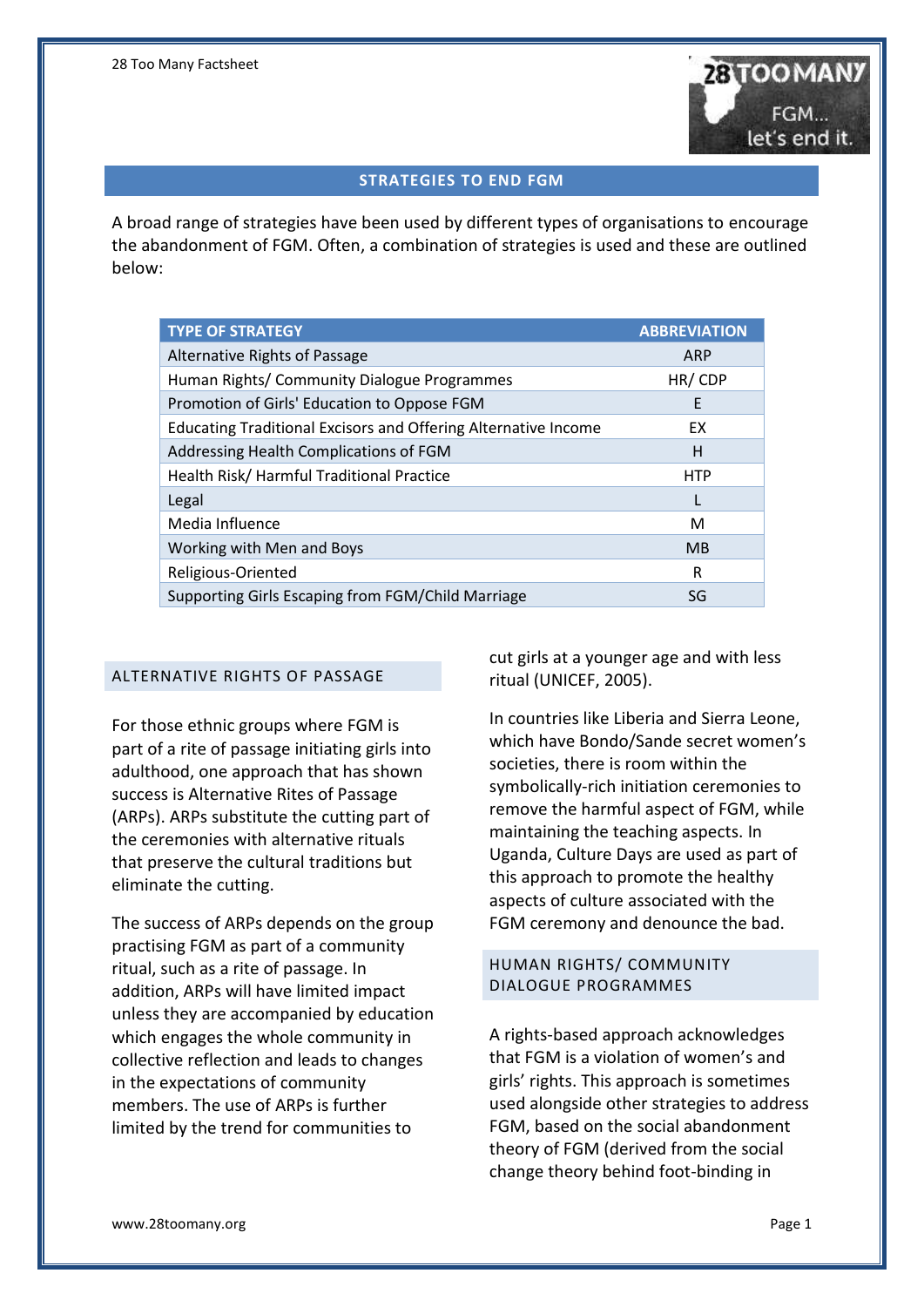

#### **STRATEGIES TO END FGM**

A broad range of strategies have been used by different types of organisations to encourage the abandonment of FGM. Often, a combination of strategies is used and these are outlined below:

| <b>TYPE OF STRATEGY</b>                                               | <b>ABBREVIATION</b> |
|-----------------------------------------------------------------------|---------------------|
| Alternative Rights of Passage                                         | ARP                 |
| Human Rights/ Community Dialogue Programmes                           | HR/CDP              |
| Promotion of Girls' Education to Oppose FGM                           | E                   |
| <b>Educating Traditional Excisors and Offering Alternative Income</b> | EX                  |
| Addressing Health Complications of FGM                                | H                   |
| Health Risk/Harmful Traditional Practice                              | <b>HTP</b>          |
| Legal                                                                 | L                   |
| Media Influence                                                       | м                   |
| Working with Men and Boys                                             | <b>MB</b>           |
| Religious-Oriented                                                    | R                   |
| Supporting Girls Escaping from FGM/Child Marriage                     | SG                  |

# ALTERNATIVE RIGHTS OF PASSAGE

For those ethnic groups where FGM is part of a rite of passage initiating girls into adulthood, one approach that has shown success is Alternative Rites of Passage (ARPs). ARPs substitute the cutting part of the ceremonies with alternative rituals that preserve the cultural traditions but eliminate the cutting.

The success of ARPs depends on the group practising FGM as part of a community ritual, such as a rite of passage. In addition, ARPs will have limited impact unless they are accompanied by education which engages the whole community in collective reflection and leads to changes in the expectations of community members. The use of ARPs is further limited by the trend for communities to

cut girls at a younger age and with less ritual (UNICEF, 2005).

In countries like Liberia and Sierra Leone, which have Bondo/Sande secret women's societies, there is room within the symbolically-rich initiation ceremonies to remove the harmful aspect of FGM, while maintaining the teaching aspects. In Uganda, Culture Days are used as part of this approach to promote the healthy aspects of culture associated with the FGM ceremony and denounce the bad.

#### HUMAN RIGHTS/ COMMUNITY DIALOGUE PROGRAMMES

A rights-based approach acknowledges that FGM is a violation of women's and girls' rights. This approach is sometimes used alongside other strategies to address FGM, based on the social abandonment theory of FGM (derived from the social change theory behind foot-binding in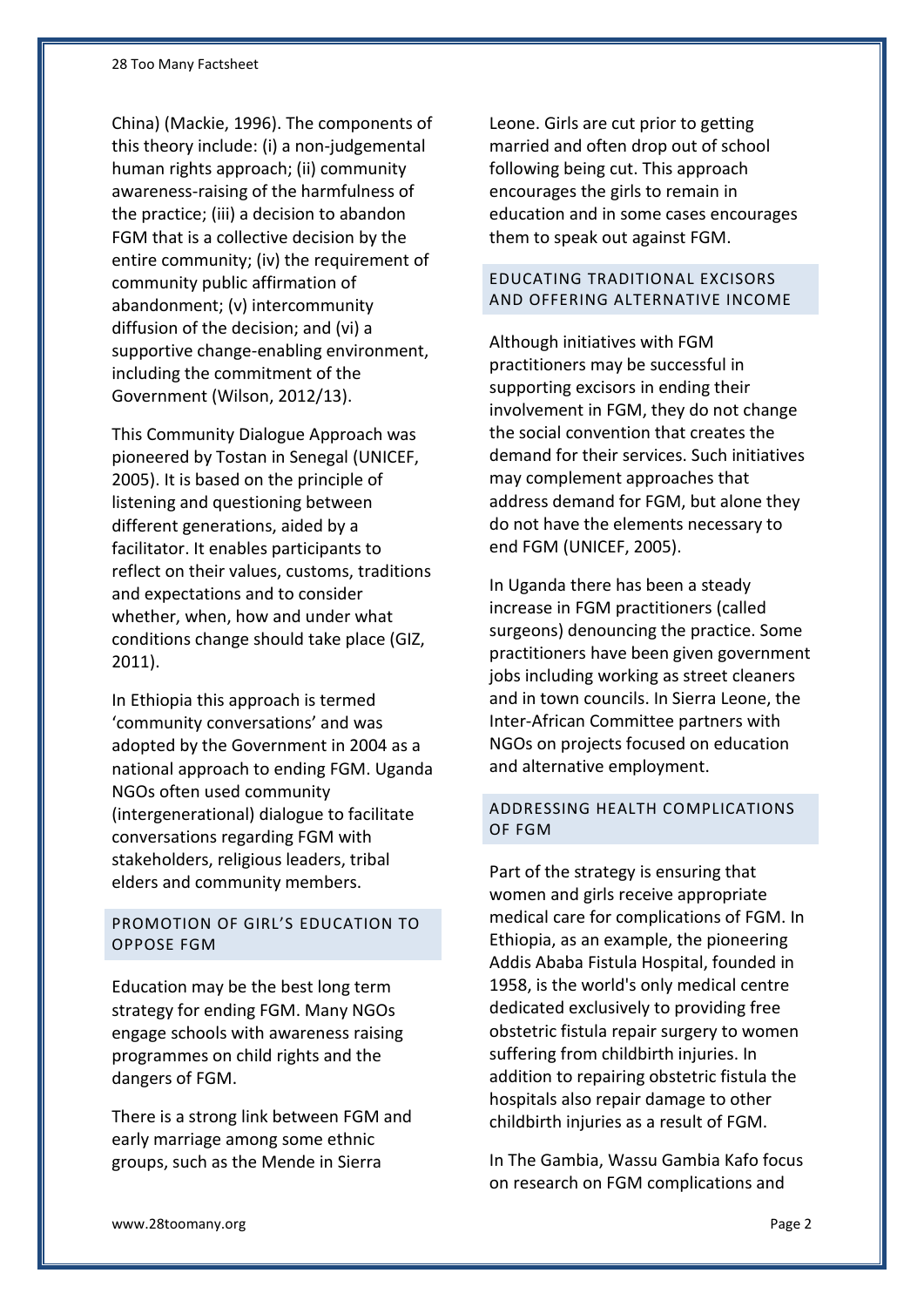China) (Mackie, 1996). The components of this theory include: (i) a non-judgemental human rights approach; (ii) community awareness-raising of the harmfulness of the practice; (iii) a decision to abandon FGM that is a collective decision by the entire community; (iv) the requirement of community public affirmation of abandonment; (v) intercommunity diffusion of the decision; and (vi) a supportive change-enabling environment, including the commitment of the Government (Wilson, 2012/13).

This Community Dialogue Approach was pioneered by Tostan in Senegal (UNICEF, 2005). It is based on the principle of listening and questioning between different generations, aided by a facilitator. It enables participants to reflect on their values, customs, traditions and expectations and to consider whether, when, how and under what conditions change should take place (GIZ, 2011).

In Ethiopia this approach is termed 'community conversations' and was adopted by the Government in 2004 as a national approach to ending FGM. Uganda NGOs often used community (intergenerational) dialogue to facilitate conversations regarding FGM with stakeholders, religious leaders, tribal elders and community members.

# PROMOTION OF GIRL'S EDUCATION TO OPPOSE FGM

Education may be the best long term strategy for ending FGM. Many NGOs engage schools with awareness raising programmes on child rights and the dangers of FGM.

There is a strong link between FGM and early marriage among some ethnic groups, such as the Mende in Sierra

Leone. Girls are cut prior to getting married and often drop out of school following being cut. This approach encourages the girls to remain in education and in some cases encourages them to speak out against FGM.

# EDUCATING TRADITIONAL EXCISORS AND OFFERING ALTERNATIVE INCOME

Although initiatives with FGM practitioners may be successful in supporting excisors in ending their involvement in FGM, they do not change the social convention that creates the demand for their services. Such initiatives may complement approaches that address demand for FGM, but alone they do not have the elements necessary to end FGM (UNICEF, 2005).

In Uganda there has been a steady increase in FGM practitioners (called surgeons) denouncing the practice. Some practitioners have been given government jobs including working as street cleaners and in town councils. In Sierra Leone, the Inter-African Committee partners with NGOs on projects focused on education and alternative employment.

# ADDRESSING HEALTH COMPLICATIONS OF FGM

Part of the strategy is ensuring that women and girls receive appropriate medical care for complications of FGM. In Ethiopia, as an example, the pioneering Addis Ababa Fistula Hospital, founded in 1958, is the world's only medical centre dedicated exclusively to providing free obstetric fistula repair surgery to women suffering from childbirth injuries. In addition to repairing obstetric fistula the hospitals also repair damage to other childbirth injuries as a result of FGM.

In The Gambia, Wassu Gambia Kafo focus on research on FGM complications and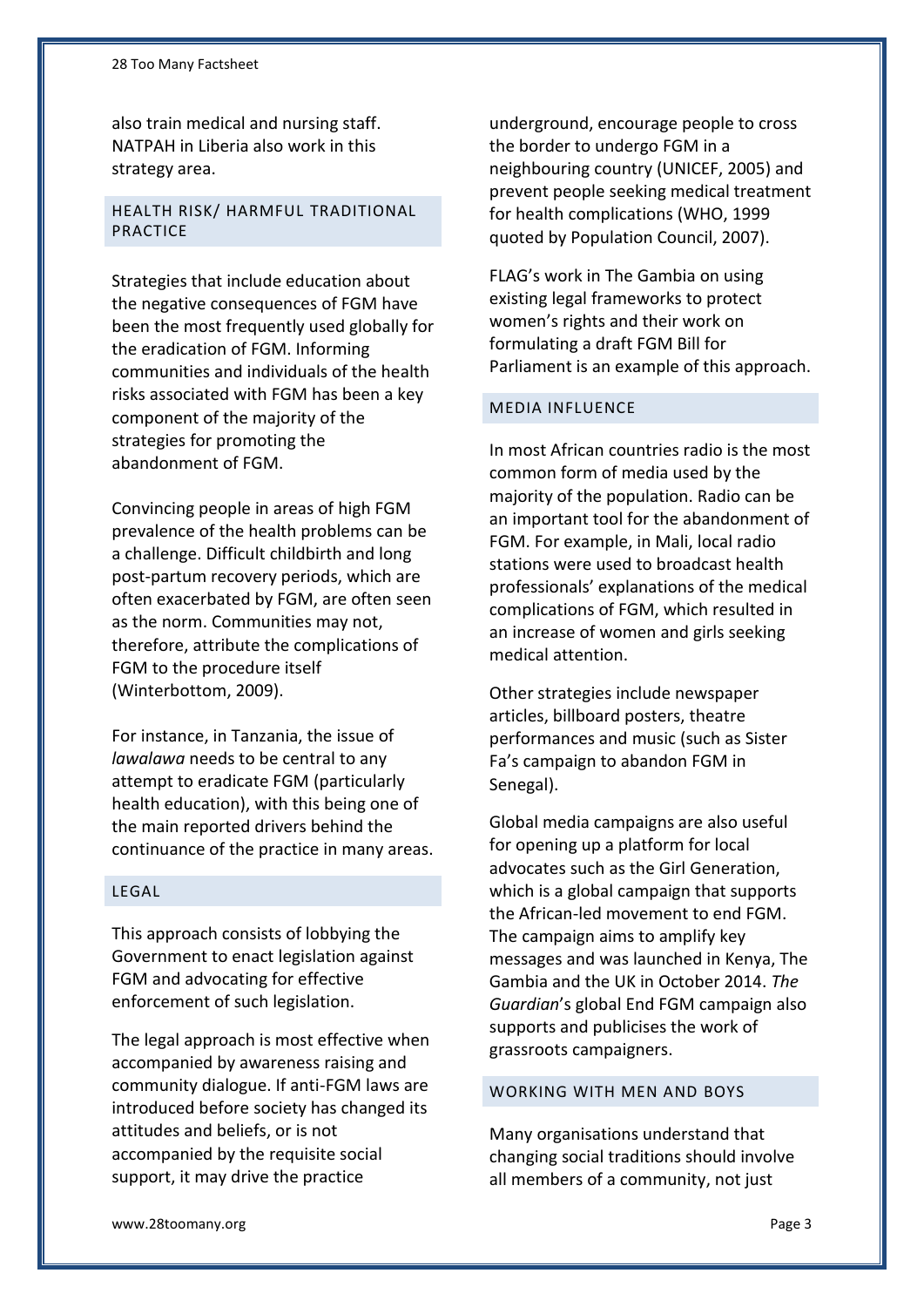also train medical and nursing staff. NATPAH in Liberia also work in this strategy area.

# HEALTH RISK/ HARMFUL TRADITIONAL PRACTICE

Strategies that include education about the negative consequences of FGM have been the most frequently used globally for the eradication of FGM. Informing communities and individuals of the health risks associated with FGM has been a key component of the majority of the strategies for promoting the abandonment of FGM.

Convincing people in areas of high FGM prevalence of the health problems can be a challenge. Difficult childbirth and long post-partum recovery periods, which are often exacerbated by FGM, are often seen as the norm. Communities may not, therefore, attribute the complications of FGM to the procedure itself (Winterbottom, 2009).

For instance, in Tanzania, the issue of *lawalawa* needs to be central to any attempt to eradicate FGM (particularly health education), with this being one of the main reported drivers behind the continuance of the practice in many areas.

#### LEGAL

This approach consists of lobbying the Government to enact legislation against FGM and advocating for effective enforcement of such legislation.

The legal approach is most effective when accompanied by awareness raising and community dialogue. If anti-FGM laws are introduced before society has changed its attitudes and beliefs, or is not accompanied by the requisite social support, it may drive the practice

underground, encourage people to cross the border to undergo FGM in a neighbouring country (UNICEF, 2005) and prevent people seeking medical treatment for health complications (WHO, 1999 quoted by Population Council, 2007).

FLAG's work in The Gambia on using existing legal frameworks to protect women's rights and their work on formulating a draft FGM Bill for Parliament is an example of this approach.

# MEDIA INFLUENCE

In most African countries radio is the most common form of media used by the majority of the population. Radio can be an important tool for the abandonment of FGM. For example, in Mali, local radio stations were used to broadcast health professionals' explanations of the medical complications of FGM, which resulted in an increase of women and girls seeking medical attention.

Other strategies include newspaper articles, billboard posters, theatre performances and music (such as Sister Fa's campaign to abandon FGM in Senegal).

Global media campaigns are also useful for opening up a platform for local advocates such as the Girl Generation, which is a global campaign that supports the African-led movement to end FGM. The campaign aims to amplify key messages and was launched in Kenya, The Gambia and the UK in October 2014. *The Guardian*'s global End FGM campaign also supports and publicises the work of grassroots campaigners.

#### WORKING WITH MEN AND BOYS

Many organisations understand that changing social traditions should involve all members of a community, not just